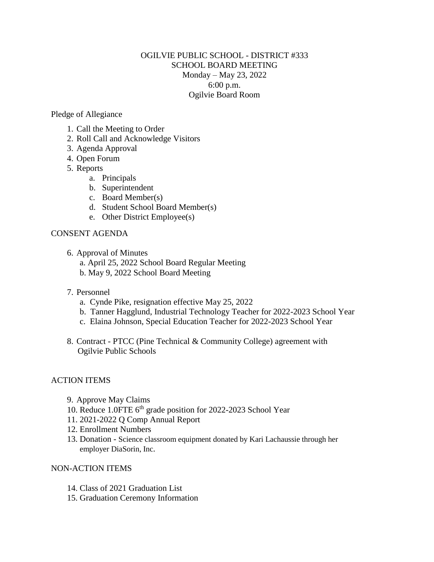## OGILVIE PUBLIC SCHOOL - DISTRICT #333 SCHOOL BOARD MEETING Monday – May 23, 2022 6:00 p.m. Ogilvie Board Room

Pledge of Allegiance

- 1. Call the Meeting to Order
- 2. Roll Call and Acknowledge Visitors
- 3. Agenda Approval
- 4. Open Forum
- 5. Reports
	- a. Principals
	- b. Superintendent
	- c. Board Member(s)
	- d. Student School Board Member(s)
	- e. Other District Employee(s)

## CONSENT AGENDA

- 6. Approval of Minutes
	- a. April 25, 2022 School Board Regular Meeting
	- b. May 9, 2022 School Board Meeting
- 7. Personnel
	- a. Cynde Pike, resignation effective May 25, 2022
	- b. Tanner Hagglund, Industrial Technology Teacher for 2022-2023 School Year
	- c. Elaina Johnson, Special Education Teacher for 2022-2023 School Year
- 8. Contract PTCC (Pine Technical & Community College) agreement with Ogilvie Public Schools

## ACTION ITEMS

- 9. Approve May Claims
- 10. Reduce 1.0FTE 6<sup>th</sup> grade position for 2022-2023 School Year
- 11. 2021-2022 Q Comp Annual Report
- 12. Enrollment Numbers
- 13. Donation Science classroom equipment donated by Kari Lachaussie through her employer DiaSorin, Inc.

## NON-ACTION ITEMS

- 14. Class of 2021 Graduation List
- 15. Graduation Ceremony Information